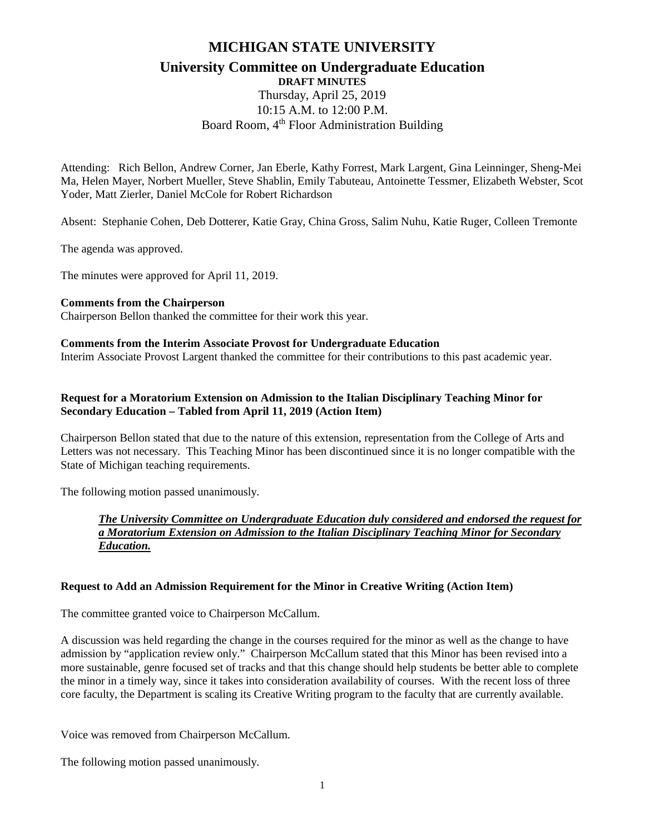# **MICHIGAN STATE UNIVERSITY University Committee on Undergraduate Education**

# **DRAFT MINUTES** Thursday, April 25, 2019 10:15 A.M. to 12:00 P.M. Board Room, 4<sup>th</sup> Floor Administration Building

Attending: Rich Bellon, Andrew Corner, Jan Eberle, Kathy Forrest, Mark Largent, Gina Leinninger, Sheng-Mei Ma, Helen Mayer, Norbert Mueller, Steve Shablin, Emily Tabuteau, Antoinette Tessmer, Elizabeth Webster, Scot Yoder, Matt Zierler, Daniel McCole for Robert Richardson

Absent: Stephanie Cohen, Deb Dotterer, Katie Gray, China Gross, Salim Nuhu, Katie Ruger, Colleen Tremonte

The agenda was approved.

The minutes were approved for April 11, 2019.

#### **Comments from the Chairperson**

Chairperson Bellon thanked the committee for their work this year.

#### **Comments from the Interim Associate Provost for Undergraduate Education**

Interim Associate Provost Largent thanked the committee for their contributions to this past academic year.

## **Request for a Moratorium Extension on Admission to the Italian Disciplinary Teaching Minor for Secondary Education – Tabled from April 11, 2019 (Action Item)**

Chairperson Bellon stated that due to the nature of this extension, representation from the College of Arts and Letters was not necessary. This Teaching Minor has been discontinued since it is no longer compatible with the State of Michigan teaching requirements.

The following motion passed unanimously.

### *The University Committee on Undergraduate Education duly considered and endorsed the request for a Moratorium Extension on Admission to the Italian Disciplinary Teaching Minor for Secondary Education.*

#### **Request to Add an Admission Requirement for the Minor in Creative Writing (Action Item)**

The committee granted voice to Chairperson McCallum.

A discussion was held regarding the change in the courses required for the minor as well as the change to have admission by "application review only." Chairperson McCallum stated that this Minor has been revised into a more sustainable, genre focused set of tracks and that this change should help students be better able to complete the minor in a timely way, since it takes into consideration availability of courses. With the recent loss of three core faculty, the Department is scaling its Creative Writing program to the faculty that are currently available.

Voice was removed from Chairperson McCallum.

The following motion passed unanimously.